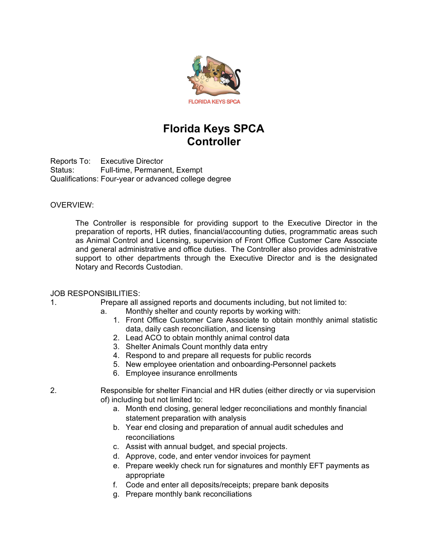

# **Florida Keys SPCA Controller**

Reports To: Executive Director Status: Full-time, Permanent, Exempt Qualifications: Four-year or advanced college degree

## OVERVIEW:

The Controller is responsible for providing support to the Executive Director in the preparation of reports, HR duties, financial/accounting duties, programmatic areas such as Animal Control and Licensing, supervision of Front Office Customer Care Associate and general administrative and office duties. The Controller also provides administrative support to other departments through the Executive Director and is the designated Notary and Records Custodian.

## JOB RESPONSIBILITIES:

1. Prepare all assigned reports and documents including, but not limited to:

- a. Monthly shelter and county reports by working with:
	- 1. Front Office Customer Care Associate to obtain monthly animal statistic data, daily cash reconciliation, and licensing
	- 2. Lead ACO to obtain monthly animal control data
	- 3. Shelter Animals Count monthly data entry
	- 4. Respond to and prepare all requests for public records
	- 5. New employee orientation and onboarding-Personnel packets
	- 6. Employee insurance enrollments

2. Responsible for shelter Financial and HR duties (either directly or via supervision of) including but not limited to:

- a. Month end closing, general ledger reconciliations and monthly financial statement preparation with analysis
- b. Year end closing and preparation of annual audit schedules and reconciliations
- c. Assist with annual budget, and special projects.
- d. Approve, code, and enter vendor invoices for payment
- e. Prepare weekly check run for signatures and monthly EFT payments as appropriate
- f. Code and enter all deposits/receipts; prepare bank deposits
- g. Prepare monthly bank reconciliations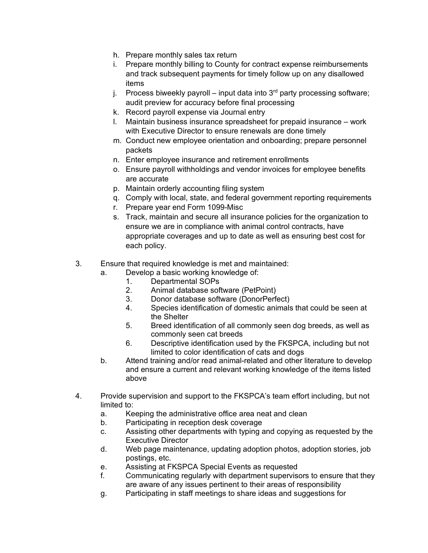- h. Prepare monthly sales tax return
- i. Prepare monthly billing to County for contract expense reimbursements and track subsequent payments for timely follow up on any disallowed items
- j. Process biweekly payroll input data into  $3<sup>rd</sup>$  party processing software; audit preview for accuracy before final processing
- k. Record payroll expense via Journal entry
- l. Maintain business insurance spreadsheet for prepaid insurance work with Executive Director to ensure renewals are done timely
- m. Conduct new employee orientation and onboarding; prepare personnel packets
- n. Enter employee insurance and retirement enrollments
- o. Ensure payroll withholdings and vendor invoices for employee benefits are accurate
- p. Maintain orderly accounting filing system
- q. Comply with local, state, and federal government reporting requirements
- r. Prepare year end Form 1099-Misc
- s. Track, maintain and secure all insurance policies for the organization to ensure we are in compliance with animal control contracts, have appropriate coverages and up to date as well as ensuring best cost for each policy.
- 3. Ensure that required knowledge is met and maintained:
	- a. Develop a basic working knowledge of:<br>1. Departmental SOPs
		- Departmental SOPs
		- 2. Animal database software (PetPoint)
		- 3. Donor database software (DonorPerfect)
		- 4. Species identification of domestic animals that could be seen at the Shelter
		- 5. Breed identification of all commonly seen dog breeds, as well as commonly seen cat breeds
		- 6. Descriptive identification used by the FKSPCA, including but not limited to color identification of cats and dogs
	- b. Attend training and/or read animal-related and other literature to develop and ensure a current and relevant working knowledge of the items listed above
- 4. Provide supervision and support to the FKSPCA's team effort including, but not limited to:
	- a. Keeping the administrative office area neat and clean
	- b. Participating in reception desk coverage
	- c. Assisting other departments with typing and copying as requested by the Executive Director
	- d. Web page maintenance, updating adoption photos, adoption stories, job postings, etc.
	- e. Assisting at FKSPCA Special Events as requested
	- f. Communicating regularly with department supervisors to ensure that they are aware of any issues pertinent to their areas of responsibility
	- g. Participating in staff meetings to share ideas and suggestions for